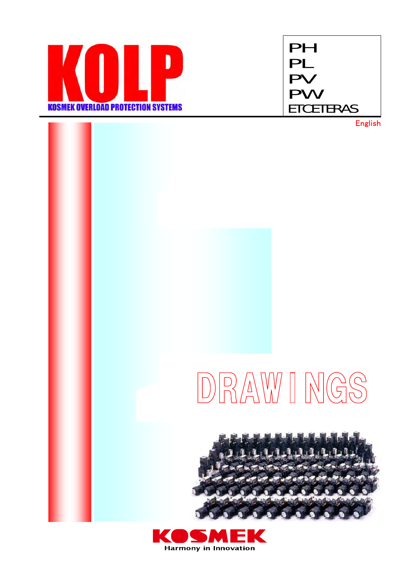



English

# DRAWINGS



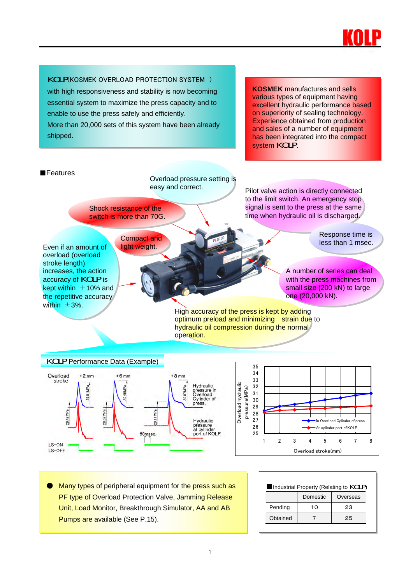

#### KOLP(KOSMEK OVERLOAD PROTECTION SYSTEM )

with high responsiveness and stability is now becoming essential system to maximize the press capacity and to enable to use the press safely and efficiently. More than 20,000 sets of this system have been already shipped.

**KOSMEK** manufactures and sells various types of equipment having excellent hydraulic performance based on superiority of sealing technology. Experience obtained from production and sales of a number of equipment has been integrated into the compact system **KOLP**.







Many types of peripheral equipment for the press such as **PF type of Overload Protection Valve, Jamming Release** Unit, Load Monitor, Breakthrough Simulator, AA and AB Pumps are available (See P.15).

| Industrial Property (Relating to KOLP) |          |          |  |  |
|----------------------------------------|----------|----------|--|--|
|                                        | Domestic | Overseas |  |  |
| Pending                                | 10       | 23       |  |  |
| Obtained                               |          | 25       |  |  |
|                                        |          |          |  |  |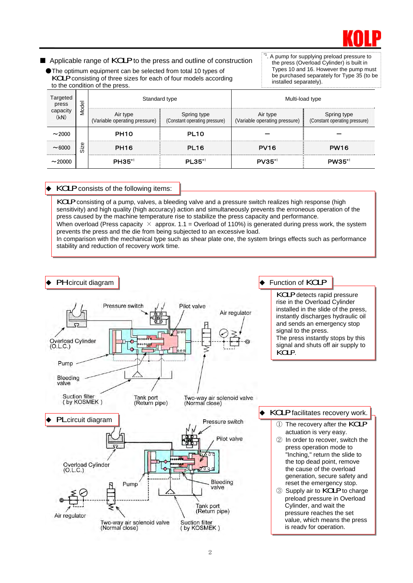

■ Applicable range of KOLP to the press and outline of construction

● The optimum equipment can be selected from total 10 types of KOLP consisting of three sizes for each of four models according to the condition of the press.

A pump for supplying preload pressure to the press (Overload Cylinder) is built in Types 10 and 16. However the pump must be purchased separately for Type 35 (to be installed separately).

| Targeted<br>press | Model    | Standard type                             |                                              | Multi-load type                           |                                              |
|-------------------|----------|-------------------------------------------|----------------------------------------------|-------------------------------------------|----------------------------------------------|
| pacıty<br>(kN)    |          | Air type<br>(Variable operating pressure) | Spring type<br>(Constant operating pressure) | Air type<br>(Variable operating pressure) | Spring type<br>(Constant operating pressure) |
| ~2000             |          | PH <sub>10</sub>                          | PL <sub>10</sub>                             |                                           |                                              |
| <br>$\sim$ 6000   | Φ<br>Siz | PH <sub>16</sub>                          | PL <sub>16</sub>                             | <b>PV16</b>                               | <b>PW16</b>                                  |
| <br>$\sim$ 20000  |          | $PH35$ <sup>*1</sup>                      | $PL35$ <sup>*1</sup>                         | $PV35^{\ast}$                             | $PW35^{*1}$                                  |

#### KOLP consists of the following items:

KOLP consisting of a pump, valves, a bleeding valve and a pressure switch realizes high response (high sensitivity) and high quality (high accuracy) action and simultaneously prevents the erroneous operation of the press caused by the machine temperature rise to stabilize the press capacity and performance. When overload (Press capacity  $\times$  approx. 1.1 = Overload of 110%) is generated during press work, the system prevents the press and the die from being subjected to an excessive load. In comparison with the mechanical type such as shear plate one, the system brings effects such as performance stability and reduction of recovery work time.

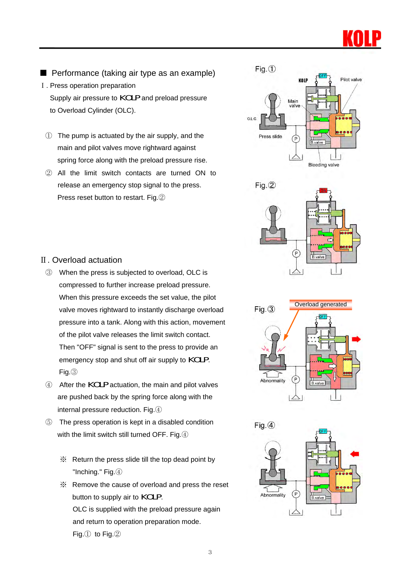

- Performance (taking air type as an example)
- Ⅰ. Press operation preparation

Supply air pressure to **KOLP** and preload pressure to Overload Cylinder (OLC).

- ① The pump is actuated by the air supply, and the main and pilot valves move rightward against spring force along with the preload pressure rise.
- ② All the limit switch contacts are turned ON to release an emergency stop signal to the press. Press reset button to restart. Fig.②





### Overload generated $Fig. (3)$  $\sqrt{P}$ Abnormality B.valve



#### Ⅱ. Overload actuation

- ③ When the press is subjected to overload, OLC is compressed to further increase preload pressure. When this pressure exceeds the set value, the pilot valve moves rightward to instantly discharge overload pressure into a tank. Along with this action, movement of the pilot valve releases the limit switch contact. Then "OFF" signal is sent to the press to provide an emergency stop and shut off air supply to **KOLP**. Fig.③
- <sup>④</sup>After the KOLP actuation, the main and pilot valves are pushed back by the spring force along with the internal pressure reduction. Fig.④
- ⑤ The press operation is kept in a disabled condition with the limit switch still turned OFF. Fig. 4
	- ※ Return the press slide till the top dead point by "Inching." Fig.④
	- ※ Remove the cause of overload and press the reset button to supply air to **KOLP**. OLC is supplied with the preload pressure again and return to operation preparation mode. Fig.① to Fig.②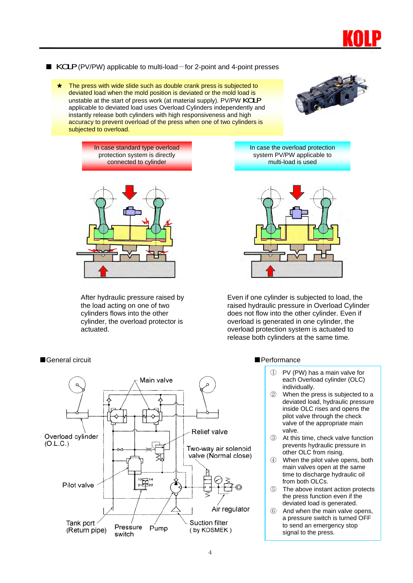

#### ■ KOLP (PV/PW) applicable to multi-load-for 2-point and 4-point presses

The press with wide slide such as double crank press is subjected to deviated load when the mold position is deviated or the mold load is unstable at the start of press work (at material supply). PV/PW KOLP applicable to deviated load uses Overload Cylinders independently and instantly release both cylinders with high responsiveness and high accuracy to prevent overload of the press when one of two cylinders is subjected to overload.



In case standard type overload protection system is directly connected to cylinder



After hydraulic pressure raised by the load acting on one of two cylinders flows into the other cylinder, the overload protector is actuated.

In case the overload protection system PV/PW applicable to multi-load is used



Even if one cylinder is subjected to load, the raised hydraulic pressure in Overload Cylinder does not flow into the other cylinder. Even if overload is generated in one cylinder, the overload protection system is actuated to release both cylinders at the same time.

#### ■General circuit ■ Performance



- ① PV (PW) has a main valve for each Overload cylinder (OLC) individually.
- ② When the press is subjected to a deviated load, hydraulic pressure inside OLC rises and opens the pilot valve through the check valve of the appropriate main valve.
- ③ At this time, check valve function prevents hydraulic pressure in other OLC from rising.
- ④ When the pilot valve opens, both main valves open at the same time to discharge hydraulic oil from both OLCs.
- ⑤ The above instant action protects the press function even if the deviated load is generated.
- ⑥ And when the main valve opens, a pressure switch is turned OFF to send an emergency stop signal to the press.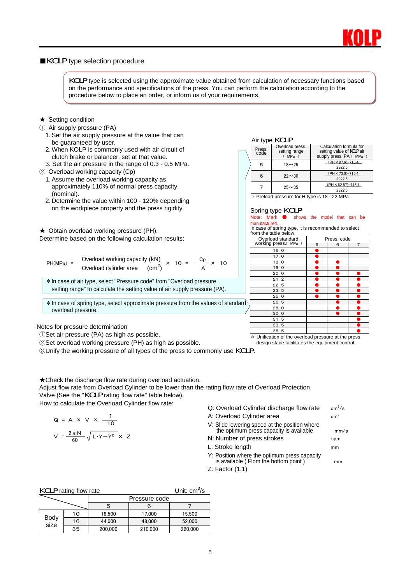

#### ■KOLP type selection procedure

KOLP type is selected using the approximate value obtained from calculation of necessary functions based on the performance and specifications of the press. You can perform the calculation according to the procedure below to place an order, or inform us of your requirements.

#### **★ Setting condition**

- ① Air supply pressure (PA)
	- 1. Set the air supply pressure at the value that can be guaranteed by user.
	- 2. When KOLP is commonly used with air circuit of clutch brake or balancer, set at that value.
	- 3. Set the air pressure in the range of 0.3 0.5 MPa.
- ② Overload working capacity (Cp)
	- 1. Assume the overload working capacity as approximately 110% of normal press capacity (nominal).
	- 2. Determine the value within 100 120% depending on the workpiece property and the press rigidity.

★ Obtain overload working pressure (PH).

Determine based on the following calculation results:

PH(MPa) = 
$$
\frac{\text{Overload working capacity (kN)}}{\text{Overload cylinder area} \cdot \text{(cm}^2)} \times 10 = \frac{\text{Cp}}{\text{A}} \times 10
$$

\*In case of air type, select "Pressure code" from "Overload pressure setting range" to calculate the setting value of air supply pressure (PA).

 $*$  In case of spring type, select approximate pressure from the values of standard overload pressure.

#### Air type **KOLP**

|  | Press.<br>code | Overload press.<br>setting range<br>MPa | Calculation formula for<br>setting value of <b>KOLP</b> air<br>supply press. PA (MPa) |  |
|--|----------------|-----------------------------------------|---------------------------------------------------------------------------------------|--|
|  | 5              | $18 - 25$                               | $(PH \times 87.6) - 715.4$<br>2922.5                                                  |  |
|  | 6              | $22 \sim 30$                            | $(PH \times 73.0)$ -715.4<br>2922.5                                                   |  |
|  |                | $25 - 35$                               | $(PH \times 62.57) - 715.4$<br>2922.5                                                 |  |

\*Preload pressure for H type is 18 - 22 MPa.

### Spring type **KOLP**<br>Note: Mark **O** show

#### shows the model that can be manufactured.

In case of spring type, it is recommended to select from the table below Overload standard Press. code

| working press.( MPa) | 5 | 6 | $\overline{7}$ |
|----------------------|---|---|----------------|
| 16.0                 |   |   |                |
| 17.0                 |   |   |                |
| 18.0                 |   |   |                |
| 19.0                 |   |   |                |
| 20.0                 |   |   |                |
| 21.2                 |   |   |                |
| 22.5                 |   |   |                |
| 23.5                 |   |   |                |
| 25.0                 |   |   |                |
| 26.5                 |   |   |                |
| 28.0                 |   |   |                |
| 30.0                 |   |   |                |
| 31.5                 |   |   |                |
| 33.5                 |   |   |                |
| 35.5                 |   |   |                |
|                      |   |   |                |

Notes for pressure determination

①Set air pressure (PA) as high as possible.

②Set overload working pressure (PH) as high as possible.

<sup>③</sup>Unify the working pressure of all types of the press to commonly use KOLP.

★Check the discharge flow rate during overload actuation.

Adjust flow rate from Overload Cylinder to be lower than the rating flow rate of Overload Protection Valve (See the "KOLP rating flow rate" table below).

How to calculate the Overload Cylinder flow rate:

$$
Q = A \times V \times \frac{1}{10}
$$

$$
V = \frac{2\pi N}{60} \sqrt{L \cdot Y - Y^2} \times Z
$$

Q: Overload Cylinder discharge flow rate

- A: Overload Cylinder area cm<sup>2</sup>
- V: Slide lowering speed at the position where the optimum press capacity is available mm/s
- N: Number of press strokes spm
- L: Stroke length mm
- Y: Position where the optimum press capacity is available (Flom the bottom point) mm
- Z: Factor (1.1)

| <b>KOLP</b> rating flow rate | Unit: $cm3/s$ |         |               |         |
|------------------------------|---------------|---------|---------------|---------|
|                              |               |         | Pressure code |         |
|                              |               | 5       | 6             |         |
|                              | 10            | 18.500  | 17.000        | 15.500  |
| <b>Body</b><br>size          | 16            | 44.000  | 48.000        | 52.000  |
|                              | 35            | 200.000 | 210,000       | 220,000 |

\* Unification of the overload pressure at the press design stage facilitates the equipment control.

 $cm<sup>3</sup>/s$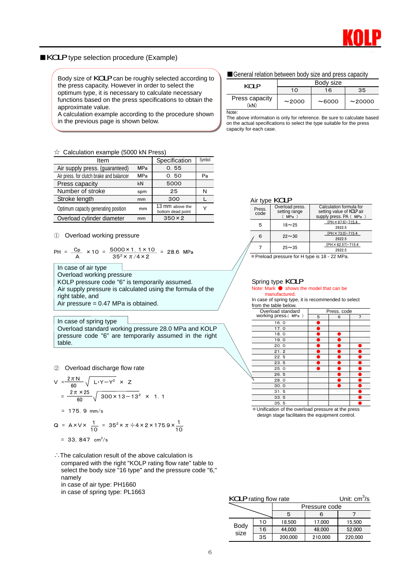

#### ■KOLP type selection procedure (Example)

Body size of **KOLP** can be roughly selected according to  $\Box$  General relation between body size and press capacity the press capacity. However in order to select the optimum type, it is necessary to calculate necessary functions based on the press specifications to obtain the approximate value.

A calculation example according to the procedure shown in the previous page is shown below.

#### ☆ Calculation example (5000 kN Press)

| Item                                     |            | Specification                        | Symbol |
|------------------------------------------|------------|--------------------------------------|--------|
| Air supply press. (guaranteed)           | <b>MPa</b> | 0.55                                 |        |
| Air press. for clutch brake and balancer | <b>MPa</b> | 0.50                                 | Pa     |
| Press capacity                           | kN         | 5000                                 |        |
| Number of stroke                         | spm        | 25                                   | N      |
| Stroke length                            | mm         | 300                                  |        |
| Optimum capacity generating position     | mm         | 13 mm above the<br>bottom dead point | Υ      |
| Overload cylinder diameter               | mm         | $350 \times 2$                       |        |

① Overload working pressure

$$
PH = \frac{Cp}{A} \times 10 = \frac{5000 \times 1.1 \times 10}{35^2 \times \pi/4 \times 2} = 28.6 \text{ MPa}
$$

In case of air type Overload working pressure KOLP pressure code "6" is temporarily assumed. Air supply pressure is calculated using the formula of the right table, and Air pressure  $= 0.47$  MPa is obtained.

In case of spring type Overload standard working pressure 28.0 MPa and KOLP pressure code "6" are temporarily assumed in the right table.

② Overload discharge flow rate

$$
V = \frac{2 \pi N}{60} \sqrt{L \cdot Y - Y^2} \times Z
$$
  
=  $\frac{2 \pi \times 25}{60} \sqrt{300 \times 13 - 13^2} \times 1.1$ 

 $= 175.9$  mm/s

Q = A×V× 
$$
\frac{1}{10}
$$
 = 35<sup>2</sup>×  $\pi \div 4 \times 2 \times 175.9 \times \frac{1}{10}$   
= 33, 847 cm<sup>3</sup>/s

∴The calculation result of the above calculation is compared with the right "KOLP rating flow rate" table to select the body size "16 type" and the pressure code "6," namely in case of air type: PH1660

in case of spring type: PL1663

| <b>KOLP</b>            | Body size |        |        |  |
|------------------------|-----------|--------|--------|--|
|                        | 10        | 16     | 35     |  |
| Press capacity<br>(kN) | ~2000     | ~16000 | ~20000 |  |
| Note:                  |           |        |        |  |

The above information is only for reference. Be sure to calculate based on the actual specifications to select the type suitable for the press capacity for each case.

#### Air type **KOLP**

|                | . |                                         |                                                                                       |  |  |  |
|----------------|---|-----------------------------------------|---------------------------------------------------------------------------------------|--|--|--|
| Press.<br>code |   | Overload press.<br>setting range<br>MPa | Calculation formula for<br>setting value of <b>KOLP</b> air<br>supply press. PA (MPa) |  |  |  |
|                | 5 | $18 - 25$                               | $(PH \times 87.6) - 715.4$<br>2922.5                                                  |  |  |  |
|                | 6 | $22 \sim 30$                            | (PH × 73.0)-715.4<br>2922.5                                                           |  |  |  |
|                |   | $25 - 35$                               | $(PH \times 62.57) - 715.4$<br>2922.5                                                 |  |  |  |

\*Preload pressure for H type is 18 - 22 MPa.

#### Spring type KOLP

#### Note: Mark ● shows the model that can be manufactured.

In case of spring type, it is recommended to select from the table below.

| $110111$ the table below. |             |   |   |
|---------------------------|-------------|---|---|
| Overload standard         | Press, code |   |   |
| working press.(MPa)       | 5           | 6 | 7 |
| 16.0                      |             |   |   |
| 17.0                      |             |   |   |
| 18.0                      |             |   |   |
| 19.0                      |             |   |   |
| 20.0                      |             |   |   |
| 21.2                      |             |   |   |
| 22.5                      |             |   |   |
| 23.5                      |             |   |   |
| 25.0                      |             |   |   |
| 26.5                      |             |   |   |
| 28.0                      |             |   |   |
| 30.0                      |             |   |   |
| 31.5                      |             |   |   |
| 33.5                      |             |   |   |
| 35.5                      |             |   |   |
|                           |             |   |   |

 $*$  Unification of the overload pressure at the press design stage facilitates the equipment control.

| <b>KOLP</b> rating flow rate | Unit: $cm^3/s$ |
|------------------------------|----------------|
|------------------------------|----------------|

|              |    |         | Pressure code |         |
|--------------|----|---------|---------------|---------|
|              |    | 5       | 6             |         |
|              | 10 | 18.500  | 17.000        | 15.500  |
| Body<br>size | 16 | 44.000  | 48,000        | 52,000  |
|              | 35 | 200,000 | 210,000       | 220,000 |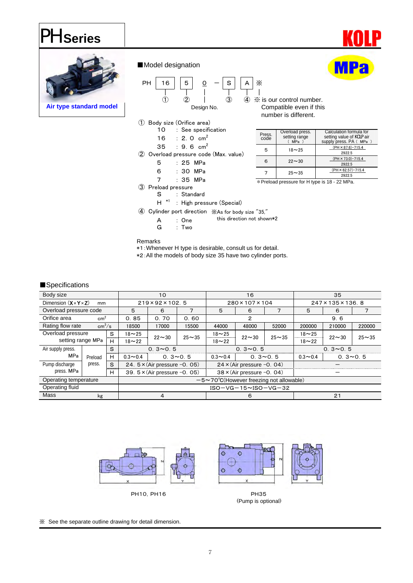### PH **Series**



■Model designation



10 : See specification 16 : 2.0  $cm<sup>2</sup>$ 35 : 9.6  $cm<sup>2</sup>$ ② Overload pressure code (Max. value) 5 : 25 MPa 6 : 30 MPa

Design No. Compatible even if this number is different.

| Press.<br>code |   | Overload press.<br>setting range<br><b>MPa</b> | Calculation formula for<br>setting value of <b>KOLP</b> air<br>supply press. PA (MPa) |
|----------------|---|------------------------------------------------|---------------------------------------------------------------------------------------|
|                | 5 | $18 - 25$                                      | $(PH \times 87.6) - 715.4$<br>2922.5                                                  |
|                | ค | $22 - 30$                                      | $(PH \times 73.0) - 715.4$<br>2922.5                                                  |
|                |   | $25 - 35$                                      | $(PH \times 62.57) - 715.4$<br>2922.5                                                 |

\*Preload pressure for H type is 18 - 22 MPa.

7 : 35 MPa

③ Preload pressure

S : Standard

 $H^*$  : High pressure (Special)

④ Cylinder port direction ※As for body size "35,"

A : One this direction not shown\*2

G : Two

Remarks

\*1:Whenever H type is desirable, consult us for detail. \*2:All the models of body size 35 have two cylinder ports.

#### ■Specifications

| Body size                                  |         |       |             | 10                                      |           |                                                        | 16                         |           | 35          |               |           |  |
|--------------------------------------------|---------|-------|-------------|-----------------------------------------|-----------|--------------------------------------------------------|----------------------------|-----------|-------------|---------------|-----------|--|
| Dimension $(X \times Y \times Z)$          | mm      |       |             | $219 \times 92 \times 102.5$            |           |                                                        | 280×107×104                |           |             | 247×135×136.8 |           |  |
| Overload pressure code                     |         |       | 5           | 6                                       | 7         | 5<br>$\overline{7}$<br>6                               |                            |           | 5           | 6             |           |  |
| Orifice area<br>cm <sup>2</sup>            |         |       | 0.85        | 0.70                                    | 0.60      | 2                                                      |                            |           |             | 9.6           |           |  |
| Rating flow rate<br>$\text{cm}^3/\text{s}$ |         |       | 18500       | 17000                                   | 15500     | 44000                                                  | 48000                      | 52000     | 200000      | 210000        | 220000    |  |
| Overload pressure<br>setting range MPa     |         | S     | $18 - 25$   | $22 - 30$                               | $25 - 35$ | $18 - 25$                                              | $22 - 30$                  | $25 - 35$ | $18 - 25$   | $22 - 30$     | $25 - 35$ |  |
|                                            |         | н     | $18 - 22$   |                                         |           | $18 - 22$                                              |                            |           | $18 - 22$   |               |           |  |
| Air supply press.                          |         | S<br> |             | $0.3 \sim 0.5$                          |           |                                                        | $0.3 \sim 0.5$             |           |             | $0.3 - 0.5$   |           |  |
| <b>MPa</b>                                 | Preload | н     | $0.3 - 0.4$ | $0.3 \sim 0.5$                          |           | $0.3 - 0.4$                                            | $0.3 - 0.5$                |           | $0.3 - 0.4$ | $0.3 - 0.5$   |           |  |
| Pump discharge                             | press.  | S     |             | 24. $5 \times$ (Air pressure $-0$ . 05) |           | $24 \times (Air pressure -0.04)$                       |                            |           |             |               |           |  |
| press, MPa                                 |         | н     |             | 39. $5 \times$ (Air pressure $-0.05$ )  |           |                                                        | 38 × (Air pressure -0. 04) |           |             |               |           |  |
| Operating temperature                      |         |       |             |                                         |           | $-5 \sim 70^{\circ}$ C(However freezing not allowable) |                            |           |             |               |           |  |
| Operating fluid                            |         |       |             |                                         |           | $ISO-VG-15\sim$ $ISO-VG-32$                            |                            |           |             |               |           |  |
| Mass                                       | kg      |       |             | 4                                       |           | 6                                                      |                            |           | 21          |               |           |  |

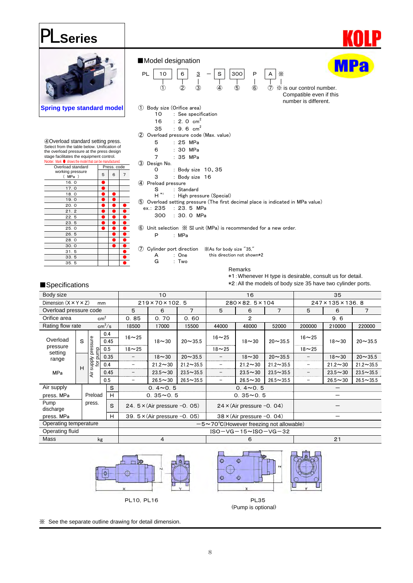### PL **Series**



| Body size                             |                                                                                 |         |                    |             | 10                                      | 16<br>35         |                                  |                                  |                  |                  |                  |                |  |
|---------------------------------------|---------------------------------------------------------------------------------|---------|--------------------|-------------|-----------------------------------------|------------------|----------------------------------|----------------------------------|------------------|------------------|------------------|----------------|--|
| Dimension $(X \times Y \times Z)$     |                                                                                 |         | mm                 |             | $219 \times 70 \times 102.5$            |                  | 280×82.5×104                     |                                  |                  | 247×135×136.8    |                  |                |  |
| Overload pressure code                |                                                                                 |         |                    | 5           | 6                                       | 7                | 5                                | 6                                | $\overline{7}$   | 5                | 6                | $\overline{7}$ |  |
| Orifice area                          |                                                                                 |         | cm <sup>2</sup>    | 0.85        | 0.70                                    | 0.60             | $\mathbf{2}$                     |                                  |                  |                  | 9.6              |                |  |
| Rating flow rate                      |                                                                                 |         | cm <sup>3</sup> /s | 18500       | 17000                                   | 15500            | 44000                            | 48000                            | 52000            | 200000<br>210000 |                  | 220000         |  |
| Overload                              | S                                                                               |         | 0.4<br>0.45        | $16 - 25$   | $18 - 30$                               | $20 - 35.5$      | $16 - 25$                        | $18 - 30$                        | $20 - 35.5$      | $16 - 25$        | $18 - 30$        | $20 - 35.5$    |  |
| pressure<br>pressure                  | Ê                                                                               | 0.5     | $18 - 25$          |             |                                         | $18 - 25$        |                                  |                                  | $18 - 25$        |                  |                  |                |  |
| setting<br><b>Addns</b><br>range<br>H | ົ                                                                               | 0.35    |                    | $18 - 30$   | $20 - 35.5$                             |                  | $18 - 30$                        | $20 - 35.5$                      |                  | $18 - 30$        | $20 - 35.5$      |                |  |
|                                       | 흐                                                                               | 0.4     |                    | $21.2 - 30$ | $21.2 \sim 35.5$                        |                  | $21.2 \sim 30$                   | $21.2 \sim 35.5$                 |                  | $21.2 - 30$      | $21.2 \sim 35.5$ |                |  |
| <b>MPa</b>                            |                                                                                 | ₹       | 0.45               |             | $23.5 - 30$                             | $23.5 - 35.5$    |                                  | $23.5 - 30$                      | $23.5 - 35.5$    |                  | $23.5 - 30$      | $23.5 - 35.5$  |  |
|                                       |                                                                                 |         | 0.5                |             | $26.5 - 30$                             | $26.5 \sim 35.5$ |                                  | $26.5 - 30$                      | $26.5 \sim 35.5$ |                  | $26.5 - 30$      | $26.5 - 35.5$  |  |
| Air supply                            |                                                                                 |         | S                  |             | $0.4 \sim 0.5$                          |                  | $0.4 \sim 0.5$                   |                                  |                  |                  |                  |                |  |
| press. MPa                            |                                                                                 | Preload | H                  |             | $0.35 - 0.5$                            |                  | $0.35 - 0.5$                     |                                  |                  |                  |                  |                |  |
| Pump<br>discharge                     |                                                                                 | press.  | S                  |             | 24. $5 \times$ (Air pressure $-0$ . 05) |                  | $24 \times (Air pressure -0.04)$ |                                  |                  |                  |                  |                |  |
| press. MPa                            |                                                                                 |         | н                  |             | 39. $5 \times$ (Air pressure $-0$ . 05) |                  |                                  | $38 \times (Air pressure -0.04)$ |                  |                  |                  |                |  |
|                                       | Operating temperature<br>$-5 \sim 70^{\circ}$ C(However freezing not allowable) |         |                    |             |                                         |                  |                                  |                                  |                  |                  |                  |                |  |
| Operating fluid                       |                                                                                 |         |                    |             |                                         |                  |                                  | $ISO-VG-15~NSO-VG-32$            |                  |                  |                  |                |  |
| Mass                                  |                                                                                 |         | kg                 |             | 4                                       |                  |                                  | 6                                |                  |                  | 21               |                |  |





(Pump is optional)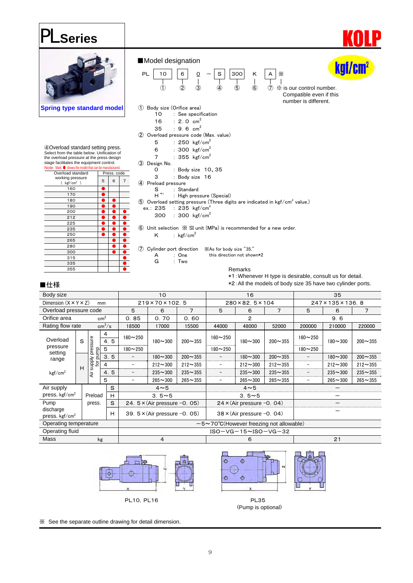### PL **Series**



④Overload standard setting press. Select from the table below. Unification of the overload pressure at the press design stage facilitates the equipment control.<br>Note: Mark ● shows the model that can be manufactured.

| Overload standard                    |   | Press. code |   |
|--------------------------------------|---|-------------|---|
| working pressure<br>$kgf/cm2$ )<br>C | 5 | 6           | 7 |
| 160                                  |   |             |   |
| 170                                  |   |             |   |
| 180                                  |   |             |   |
| 190                                  |   |             |   |
| 200                                  |   |             |   |
| 212                                  |   |             |   |
| 225                                  |   |             |   |
| 235                                  |   |             |   |
| 250                                  |   |             |   |
| 265                                  |   |             |   |
| 280                                  |   |             |   |
| 300                                  |   |             |   |
| 315                                  |   |             |   |
| 335                                  |   |             |   |
| 355                                  |   |             |   |





- ③ Design No.
- 0 : Body size 10、35
- 3 : Body size 16
- ④ Preload pressure
- S : Standard<br>H<sup>\*1</sup> : High prec
- : High pressure (Special) **6** Overload setting pressure (Three digits are indicated in kgf/cm<sup>2</sup> value.)
- $ex.: 235 : 235$  kgf/cm<sup>2</sup>
	- 300 : 300 kgf/cm<sup>2</sup>

⑥ Unit selection ※ SI unit (MPa) is recommended for a new order. K :  $\text{kgf/cm}^2$ 

- ⑦ Cylinder port direction ※As for body size "35," A : One this direction not shown\*2<br>
G : Two
	- G : Two

Remarks \*1:Whenever H type is desirable, consult us for detail.

\*2:All the models of body size 35 have two cylinder ports.

kaf/en

#### ■仕様

| Body size                                                                       |   |                     |                                         |                          | 10                                      |                                  |                              | 16                               |             | 35            |                |             |             |
|---------------------------------------------------------------------------------|---|---------------------|-----------------------------------------|--------------------------|-----------------------------------------|----------------------------------|------------------------------|----------------------------------|-------------|---------------|----------------|-------------|-------------|
| Dimension $(X \times Y \times Z)$                                               |   |                     | mm                                      |                          | 219×70×102.5                            |                                  | $280 \times 82.5 \times 104$ |                                  |             | 247×135×136.8 |                |             |             |
| Overload pressure code                                                          |   |                     | 5                                       | 6                        | 7                                       | 5                                | 6                            | 7                                | 5           | 6             | $\overline{7}$ |             |             |
| cm <sup>2</sup><br>Orifice area                                                 |   |                     |                                         | 0.85                     | 0.70                                    | 0.60                             | $\overline{2}$               |                                  |             |               | 9.6            |             |             |
| Rating flow rate                                                                |   |                     | cm <sup>3</sup> /s                      | 18500                    | 17000                                   | 15500                            | 44000                        | 48000                            | 52000       | 200000        | 210000         | 220000      |             |
| Overload                                                                        | S | pressure            | 4<br><br>5<br>4.<br>                    | $160 - 250$              | $180 - 300$                             | $200 - 355$                      | $160 - 250$                  | $180 - 300$                      | $200 - 355$ | $160 - 250$   | $180 - 300$    | $200 - 355$ |             |
| pressure                                                                        | Ê | 5                   | $180 - 250$                             |                          |                                         | $180 - 250$                      |                              |                                  | $180 - 250$ |               |                |             |             |
| setting<br>range                                                                |   |                     | 3.<br>5                                 |                          | $180 - 300$                             | $200 - 355$                      |                              | $180 - 300$                      | $200 - 355$ |               | $180 - 300$    | $200 - 355$ |             |
|                                                                                 |   | <b>Alddns</b><br>Įο | <br>4                                   | $\overline{\phantom{a}}$ | $212 - 300$                             | $212 - 355$                      |                              | $212 - 300$                      | $212 - 355$ |               | $212 - 300$    | $212 - 355$ |             |
| kgf/cm <sup>2</sup>                                                             | H |                     | Är                                      | 5<br>4.                  | $\overline{\phantom{a}}$                | $235 - 300$                      | $235 - 355$                  |                                  | $235 - 300$ | $235 - 355$   |                | $235 - 300$ | $235 - 355$ |
|                                                                                 |   |                     | 5                                       | $\qquad \qquad -$        | $265 - 300$                             | $265 - 355$                      |                              | $265 - 300$                      | $265 - 355$ |               | $265 - 300$    | $265 - 355$ |             |
| Air supply                                                                      |   |                     | S                                       |                          | $4 \sim 5$                              |                                  | $4 \sim 5$                   |                                  |             |               |                |             |             |
| press. $k$ gf/cm <sup>2</sup>                                                   |   | Preload             | <br>н                                   |                          | $3.5 - 5$                               |                                  | $3.5 - 5$                    |                                  |             |               |                |             |             |
| Pump                                                                            |   | press.              | S                                       |                          | 24. $5 \times$ (Air pressure $-0$ . 05) |                                  |                              | $24 \times (Air pressure -0.04)$ |             |               |                |             |             |
| discharge<br>н<br>press. $\text{kgf/cm}^2$                                      |   |                     | 39. $5 \times$ (Air pressure $-0$ . 05) |                          |                                         | $38 \times (Air pressure -0.04)$ |                              |                                  |             |               |                |             |             |
| Operating temperature<br>$-5 \sim 70^{\circ}$ C(However freezing not allowable) |   |                     |                                         |                          |                                         |                                  |                              |                                  |             |               |                |             |             |
| Operating fluid                                                                 |   |                     |                                         |                          |                                         |                                  | $ISO-VG-15\sim$ $ISO-VG-32$  |                                  |             |               |                |             |             |
| Mass<br>kg                                                                      |   |                     |                                         |                          | 4                                       |                                  |                              | 6                                |             | 21            |                |             |             |





(Pump is optional)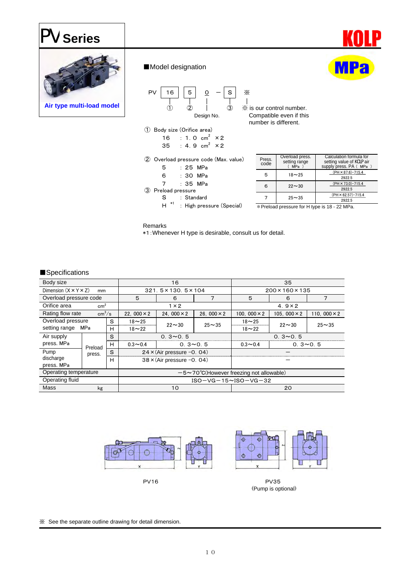## PV **Series**



#### ■Model designation



Compatible even if this number is different.

- ① Body size (Orifice area) 16 : 1.0  $cm<sup>2</sup>$  × 2
- $35$  : 4.9 cm<sup>2</sup>  $\times 2$ ② Overload pressure code (Max. value)
	- 5 : 25 MPa 6 : 30 MPa 7 : 35 MPa
- ③ Preload pressure S : Standard
	- H  $*1$  : High pressure (Special)

| Press.<br>code | Overload press.<br>setting range<br>$MPa$ ) | Calculation formula for<br>setting value of <b>KOLP</b> air<br>supply press. PA ( MPa ) |
|----------------|---------------------------------------------|-----------------------------------------------------------------------------------------|
| 5              | $18 - 25$                                   | $(PH \times 87.6) - 715.4$<br>2922.5                                                    |
| 6              | $22 - 30$                                   | $(PH \times 73.0) - 715.4$<br>2922.5                                                    |
|                | $25 - 35$                                   | $(PH \times 62.57) - 715.4$<br>2922.5                                                   |

\*Preload pressure for H type is 18 - 22 MPa.

#### Remarks

\*1:Whenever H type is desirable, consult us for detail.

#### ■Specifications

| Body size                              |         |   |                                                        | 16                               |                    | 35                         |                     |                     |  |
|----------------------------------------|---------|---|--------------------------------------------------------|----------------------------------|--------------------|----------------------------|---------------------|---------------------|--|
| Dimension $(X \times Y \times Z)$      | mm      |   |                                                        | 321.5×130.5×104                  |                    | 200×160×135                |                     |                     |  |
| Overload pressure code                 |         |   | 5                                                      | 7<br>6                           |                    | 5                          | 6                   | 7                   |  |
| Orifice area<br>cm <sup>2</sup>        |         |   |                                                        | $1 \times 2$                     |                    |                            | $4.9 \times 2$      |                     |  |
| Rating flow rate<br>cm <sup>3</sup> /s |         |   | 22. 000 $\times$ 2                                     | 24. 000 $\times$ 2               | 26. 000 $\times$ 2 | 100, 000 $\times$ 2        | 105, 000 $\times$ 2 | 110, 000 $\times$ 2 |  |
| Overload pressure                      |         | S | $18 - 25$                                              | $22 \sim 30$                     | $25 - 35$          | $18 - 25$                  | $22 - 30$           | $25 - 35$           |  |
| setting range<br>MPa<br>н              |         |   | $18 - 22$                                              |                                  |                    | $18 - 22$                  |                     |                     |  |
| Air supply                             |         | S | $0.3 \sim 0.5$                                         |                                  |                    |                            | $0.3 - 0.5$         |                     |  |
| press. MPa                             | Preload | Н | $0.3 - 0.4$                                            | $0.3 \sim 0.5$                   |                    | $0.3 - 0.5$<br>$0.3 - 0.4$ |                     |                     |  |
| Pump                                   | press.  | S |                                                        | $24 \times (Air pressure -0.04)$ |                    |                            |                     |                     |  |
| discharge<br>press. MPa                | н       |   |                                                        | $38 \times (Air pressure -0.04)$ |                    |                            |                     |                     |  |
| Operating temperature                  |         |   | $-5 \sim 70^{\circ}$ C(However freezing not allowable) |                                  |                    |                            |                     |                     |  |
| Operating fluid                        |         |   | $ISO-VG-15~NSO-VG-32$                                  |                                  |                    |                            |                     |                     |  |
| Mass                                   | kg      |   |                                                        | 10                               |                    |                            | 20                  |                     |  |



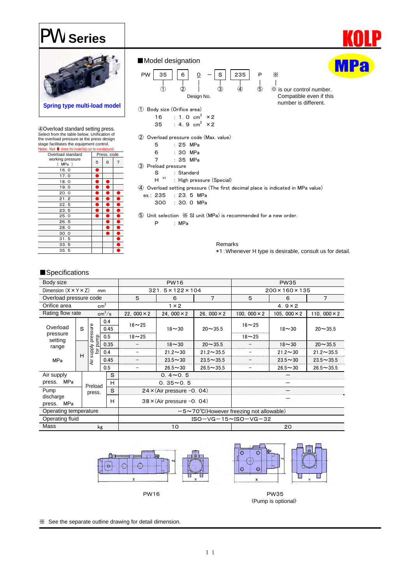### PW **Series**



④Overload standard setting press. Select from the table below. Unification of the overload pressure at the press design stage facilitates the equipment control. .<br>∍: Mark ● show

| <b>INCIDE: INCIDENT CONTRACTED</b> INCORPORATION INCORPORATION. |   |             |   |
|-----------------------------------------------------------------|---|-------------|---|
| Overload standard                                               |   | Press. code |   |
| working pressure<br>(MPa)                                       | 5 | 6           | 7 |
| 16.0                                                            |   |             |   |
| 17.0                                                            |   |             |   |
| 18.0                                                            |   |             |   |
| 19.0                                                            |   |             |   |
| 20.0                                                            |   |             |   |
| 21.2                                                            |   |             |   |
| 22.5                                                            |   |             |   |
| 23.5                                                            |   |             |   |
| 25.0                                                            |   |             |   |
| 26.5                                                            |   |             |   |
| 28.0                                                            |   |             |   |
| 30.0                                                            |   |             |   |
| 31.5                                                            |   |             |   |
| 33.5                                                            |   |             |   |
| 35.5                                                            |   |             |   |
|                                                                 |   |             |   |





② Overload pressure code (Max. value)

| $\sim$ . $\sim$ . $\sim$ . $\sim$ . $\sim$ . $\sim$ . $\sim$ . $\sim$ |  |  |          |
|-----------------------------------------------------------------------|--|--|----------|
| 5                                                                     |  |  | : 25 MPa |
|                                                                       |  |  |          |

 $\circled{3}$ 

| ี่ค              |  | : 30 MPa |  |
|------------------|--|----------|--|
| ᄀ                |  | : 35 MPa |  |
| Preload pressure |  |          |  |
|                  |  |          |  |

S : Standard<br>H \*1 : High pres

- : High pressure (Special)
- ④ Overload setting pressure (The first decimal place is indicated in MPa value)
	- ex.: 235 : 23.5 MPa 300 : 30.0 MPa

⑤ Unit selection ※ SI unit (MPa) is recommended for a new order.

P : MPa

Remarks \*1:Whenever H type is desirable, consult us for detail.

number is different.

#### ■Specifications

| Body size                         |   |                  |                    |                 | <b>PW16</b>        |                                  | <b>PW35</b>                                            |                     |                    |                     |  |
|-----------------------------------|---|------------------|--------------------|-----------------|--------------------|----------------------------------|--------------------------------------------------------|---------------------|--------------------|---------------------|--|
| Dimension $(X \times Y \times Z)$ |   |                  | mm                 |                 |                    | $321.5 \times 122 \times 104$    |                                                        | 200×160×135         |                    |                     |  |
| Overload pressure code            |   |                  |                    | 5               | 6                  | 7                                | 5                                                      | 6                   | 7                  |                     |  |
| Orifice area<br>cm <sup>2</sup>   |   |                  |                    |                 | $1 \times 2$       |                                  |                                                        | $4.9 \times 2$      |                    |                     |  |
| Rating flow rate                  |   |                  | cm <sup>3</sup> /s |                 | 22. 000 $\times$ 2 | 24. 000 $\times$ 2               | 26. 000 $\times$ 2                                     | 100. 000 $\times$ 2 | 105.000 $\times$ 2 | 110, 000 $\times$ 2 |  |
| Overload                          | S | sure             |                    | 0.4<br><br>0.45 | $16 - 25$          | $18 - 30$                        | $20 - 35.5$                                            | $16 - 25$           | $18 - 30$          | $20 - 35.5$         |  |
| pressure                          |   | pump<br>ë<br>D   |                    | 0.5             | $18 - 25$          |                                  |                                                        | $18 - 25$           |                    |                     |  |
| setting<br>range                  |   |                  |                    | 0.35            |                    | $18 - 30$                        | $20 - 35.5$                                            |                     | $18 - 30$          | $20 - 35.5$         |  |
|                                   | H | supply<br>for pu |                    | 0.4             |                    | $21.2 \sim 30$                   | $21.2 \sim 35.5$                                       |                     | $21.2 \sim 30$     | $21.2 \sim 35.5$    |  |
| <b>MPa</b>                        |   | ä                |                    | 0.45            |                    | $23.5 - 30$                      | $23.5 - 35.5$                                          |                     | $23.5 - 30$        | $23.5 - 35.5$       |  |
|                                   |   |                  | 0.5                |                 |                    | $26.5 - 30$                      | $26.5 - 35.5$                                          |                     | $26.5 - 30$        | $26.5 - 35.5$       |  |
| Air supply                        |   |                  |                    | S               |                    | $0.4 \sim 0.5$                   |                                                        |                     |                    |                     |  |
| MPa<br>press.                     |   | Preload          |                    | <br>н           |                    | $0.35 - 0.5$                     |                                                        |                     |                    |                     |  |
| Pump                              |   | press.           |                    | S<br>           |                    | $24 \times (Air pressure -0.04)$ |                                                        |                     |                    |                     |  |
| discharge<br>MPa<br>press.        |   |                  |                    | н               |                    | $38 \times (Air pressure -0.04)$ |                                                        |                     |                    |                     |  |
| Operating temperature             |   |                  |                    |                 |                    |                                  | $-5 \sim 70^{\circ}$ C(However freezing not allowable) |                     |                    |                     |  |
| Operating fluid                   |   |                  |                    |                 |                    |                                  | $ISO-VG-15~NSO-VG-32$                                  |                     |                    |                     |  |
| Mass<br>kg                        |   |                  |                    | 10              |                    |                                  | 20                                                     |                     |                    |                     |  |

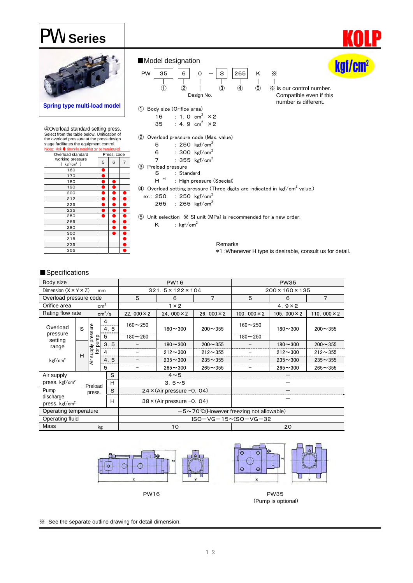### PW **Series**



Remarks \*1:Whenever H type is desirable, consult us for detail.

#### ■Specifications

| Body size                         |   |                    |                    |                         |                    | <b>PW16</b>                      |                                                        | <b>PW35</b>         |                    |                     |  |
|-----------------------------------|---|--------------------|--------------------|-------------------------|--------------------|----------------------------------|--------------------------------------------------------|---------------------|--------------------|---------------------|--|
| Dimension $(X \times Y \times Z)$ |   |                    | mm                 |                         |                    | $321.5 \times 122 \times 104$    |                                                        | 200×160×135         |                    |                     |  |
| Overload pressure code            |   |                    |                    |                         | 5                  | 6                                | 7                                                      | 5                   | 6                  | 7                   |  |
| cm <sup>2</sup><br>Orifice area   |   |                    |                    |                         | $1 \times 2$       |                                  |                                                        | 4. $9 \times 2$     |                    |                     |  |
| Rating flow rate                  |   |                    | cm <sup>3</sup> /s |                         | 22. 000 $\times$ 2 | 24, 000 $\times$ 2               | 26. 000 $\times$ 2                                     | 100. 000 $\times$ 2 | 105.000 $\times$ 2 | 110. 000 $\times$ 2 |  |
| Overload                          | S | 4<br>sure          |                    | ,,,,,,,,,,,,,,,,<br>4.5 | $160 - 250$        | $180 - 300$                      | $200 - 355$                                            | $160 - 250$         | $180 - 300$        | $200 - 355$         |  |
| pressure                          |   | pump<br>pre        | 5                  |                         | $180 - 250$        |                                  |                                                        | $180 - 250$         |                    |                     |  |
| setting<br>range                  |   |                    |                    | 3.5                     |                    | $180 - 300$                      | $200 - 355$                                            |                     | $180 - 300$        | $200 - 355$         |  |
|                                   | Н | <b>Alddns</b><br>ğ | 4                  |                         |                    | $212 - 300$                      | $212 - 355$                                            |                     | $212 - 300$        | $212 - 355$         |  |
| kgf/cm <sup>2</sup>               |   | ä                  |                    | 4.5                     |                    | $235 - 300$                      | $235 - 355$                                            |                     | $235 - 300$        | $235 - 355$         |  |
|                                   |   |                    | 5                  |                         | $265 - 300$        |                                  | $265 - 355$                                            |                     | $265 - 300$        | $265 - 355$         |  |
| Air supply                        |   |                    |                    | S                       |                    | $4 \sim 5$                       |                                                        |                     |                    |                     |  |
| press. $kgf/cm2$                  |   | Preload            |                    | н                       |                    | $3.5 - 5$                        |                                                        |                     |                    |                     |  |
| Pump                              |   | press.             |                    | S<br>                   |                    | $24 \times (Air pressure -0.04)$ |                                                        |                     |                    |                     |  |
| discharge                         |   |                    |                    | н                       |                    | $38 \times (Air pressure -0.04)$ |                                                        |                     |                    |                     |  |
| press. $kgf/cm2$                  |   |                    |                    |                         |                    |                                  |                                                        |                     |                    |                     |  |
| Operating temperature             |   |                    |                    |                         |                    |                                  | $-5 \sim 70^{\circ}$ C(However freezing not allowable) |                     |                    |                     |  |
| Operating fluid                   |   |                    |                    |                         |                    |                                  | $ISO - VG - 15 - ISO - VG - 32$                        |                     |                    |                     |  |
| Mass<br>kg                        |   |                    |                    |                         | 10                 |                                  |                                                        | 20                  |                    |                     |  |

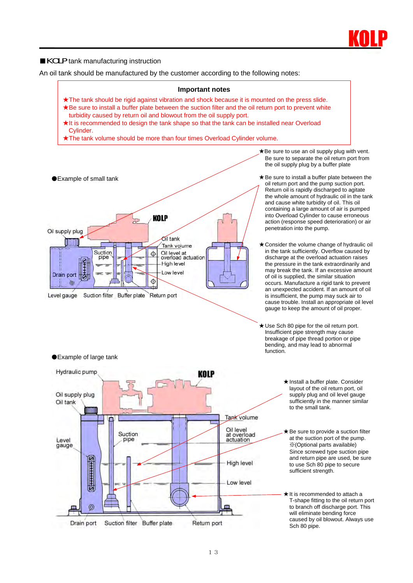

#### ■KOLP tank manufacturing instruction

An oil tank should be manufactured by the customer according to the following notes:



- ★ Use Sch 80 pipe for the oil return port. Insufficient pipe strength may cause breakage of pipe thread portion or pipe bending, and may lead to abnormal function.
	- ★ Install a buffer plate. Consider layout of the oil return port, oil supply plug and oil level gauge sufficiently in the manner similar to the small tank.
	- $\bigstar$  Be sure to provide a suction filter at the suction port of the pump. ※(Optional parts available) Since screwed type suction pipe and return pipe are used, be sure to use Sch 80 pipe to secure sufficient strength.
	- ★ It is recommended to attach a T-shape fitting to the oil return port to branch off discharge port. This will eliminate bending force caused by oil blowout. Always use Sch 80 pipe.

#### ●Example of large tank

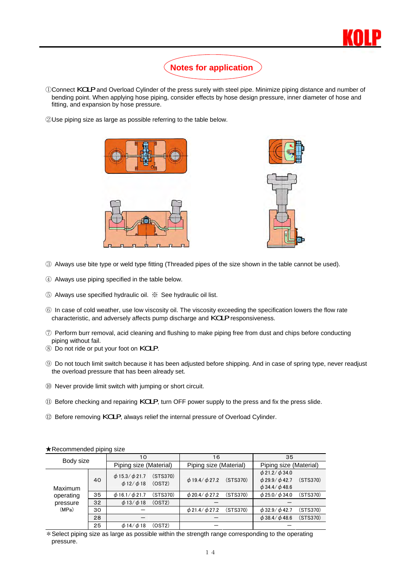

### **Notes for application**

- <sup>①</sup>Connect KOLP and Overload Cylinder of the press surely with steel pipe. Minimize piping distance and number of bending point. When applying hose piping, consider effects by hose design pressure, inner diameter of hose and fitting, and expansion by hose pressure.
- ②Use piping size as large as possible referring to the table below.





- ③ Always use bite type or weld type fitting (Threaded pipes of the size shown in the table cannot be used).
- ④ Always use piping specified in the table below.
- ⑤ Always use specified hydraulic oil. ※ See hydraulic oil list.
- ⑥ In case of cold weather, use low viscosity oil. The viscosity exceeding the specification lowers the flow rate characteristic, and adversely affects pump discharge and KOLP responsiveness.
- ⑦ Perform burr removal, acid cleaning and flushing to make piping free from dust and chips before conducting piping without fail.
- <sup>⑧</sup> Do not ride or put your foot on KOLP.
- ⑨ Do not touch limit switch because it has been adjusted before shipping. And in case of spring type, never readjust the overload pressure that has been already set.
- ⑩ Never provide limit switch with jumping or short circuit.
- <sup>⑪</sup> Before checking and repairing KOLP, turn OFF power supply to the press and fix the press slide.
- <sup>⑫</sup> Before removing KOLP, always relief the internal pressure of Overload Cylinder.

| Body size |    | 10                                                                     | 16                     |                          | 35                     |                                                      |          |
|-----------|----|------------------------------------------------------------------------|------------------------|--------------------------|------------------------|------------------------------------------------------|----------|
|           |    | Piping size (Material)                                                 | Piping size (Material) |                          | Piping size (Material) |                                                      |          |
| Maximum   | 40 | $\phi$ 15.3/ $\phi$ 21.7<br>(STS370)<br>$\phi$ 12/ $\phi$ 18<br>(OST2) |                        | $\phi$ 19.4/ $\phi$ 27.2 | (STS370)               | $\phi$ 21.2/ $\phi$ 34.0<br>$\phi$ 29.9/ $\phi$ 42.7 | (STS370) |
|           |    |                                                                        |                        |                          |                        | $\phi$ 34.4/ $\phi$ 48.6                             |          |
| operating | 35 | $\phi$ 16.1/ $\phi$ 21.7                                               | (STS370)               | $\phi$ 20.4/ $\phi$ 27.2 | (STS370)               | $\phi$ 25.0/ $\phi$ 34.0                             | (STS370) |
| pressure  | 32 | $\phi$ 13/ $\phi$ 18<br>(OST2)                                         |                        |                          |                        |                                                      |          |
| (MPa)     | 30 |                                                                        |                        | $\phi$ 21.4/ $\phi$ 27.2 | (STS370)               | $\phi$ 32.9/ $\phi$ 42.7                             | (STS370) |
|           | 28 |                                                                        |                        |                          |                        | $\phi$ 38.4/ $\phi$ 48.6                             | (STS370) |
|           | 25 | $\phi$ 14/ $\phi$ 18<br>(OST2)                                         |                        |                          |                        |                                                      |          |

#### ★Recommended piping size

\*Select piping size as large as possible within the strength range corresponding to the operating pressure.